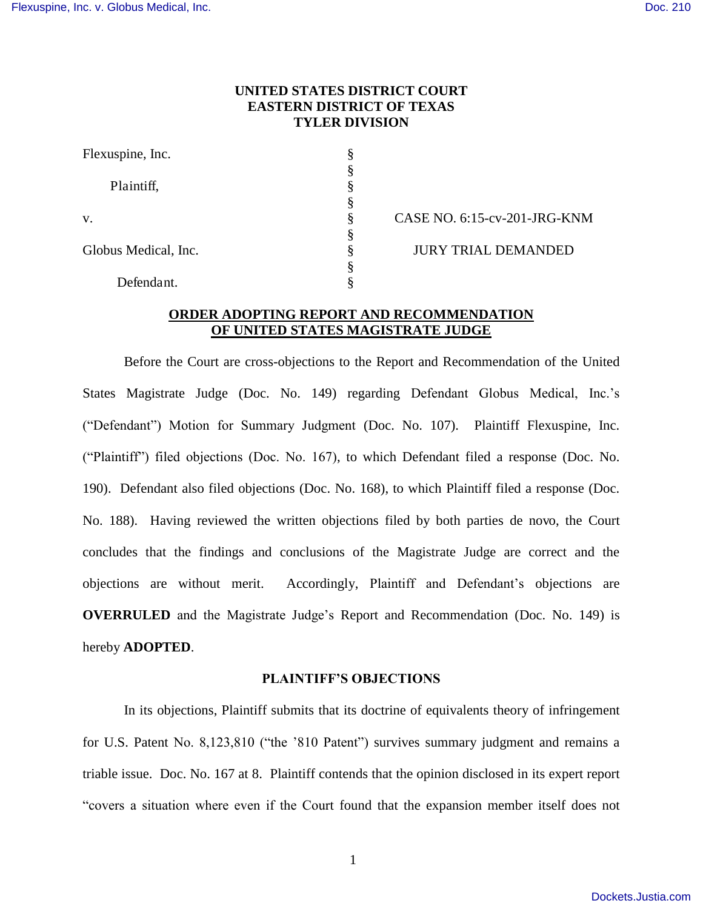# **UNITED STATES DISTRICT COURT EASTERN DISTRICT OF TEXAS TYLER DIVISION**

| Flexuspine, Inc.     | ş |
|----------------------|---|
|                      | § |
| Plaintiff,           | § |
|                      | § |
| V.                   | § |
|                      | § |
| Globus Medical, Inc. | ş |
|                      | § |
| Defendant.           |   |

CASE NO. 6:15-cv-201-JRG-KNM JURY TRIAL DEMANDED

## **ORDER ADOPTING REPORT AND RECOMMENDATION OF UNITED STATES MAGISTRATE JUDGE**

Before the Court are cross-objections to the Report and Recommendation of the United States Magistrate Judge (Doc. No. 149) regarding Defendant Globus Medical, Inc.'s ("Defendant") Motion for Summary Judgment (Doc. No. 107). Plaintiff Flexuspine, Inc. ("Plaintiff") filed objections (Doc. No. 167), to which Defendant filed a response (Doc. No. 190). Defendant also filed objections (Doc. No. 168), to which Plaintiff filed a response (Doc. No. 188). Having reviewed the written objections filed by both parties de novo, the Court concludes that the findings and conclusions of the Magistrate Judge are correct and the objections are without merit. Accordingly, Plaintiff and Defendant's objections are **OVERRULED** and the Magistrate Judge's Report and Recommendation (Doc. No. 149) is hereby **ADOPTED**.

#### **PLAINTIFF'S OBJECTIONS**

In its objections, Plaintiff submits that its doctrine of equivalents theory of infringement for U.S. Patent No. 8,123,810 ("the '810 Patent") survives summary judgment and remains a triable issue. Doc. No. 167 at 8. Plaintiff contends that the opinion disclosed in its expert report "covers a situation where even if the Court found that the expansion member itself does not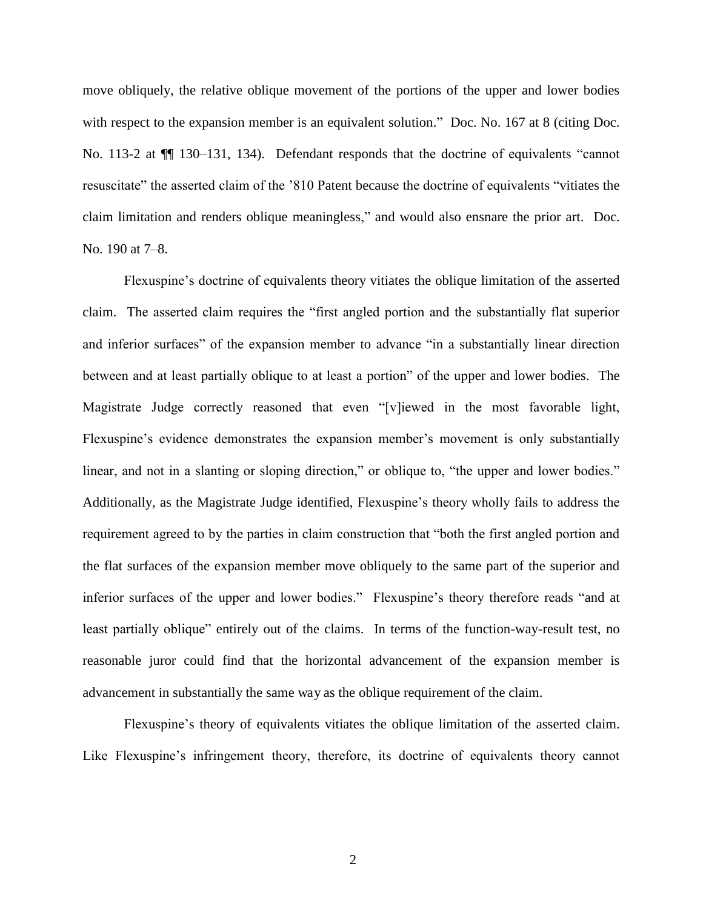move obliquely, the relative oblique movement of the portions of the upper and lower bodies with respect to the expansion member is an equivalent solution." Doc. No. 167 at 8 (citing Doc. No. 113-2 at ¶¶ 130–131, 134). Defendant responds that the doctrine of equivalents "cannot resuscitate" the asserted claim of the '810 Patent because the doctrine of equivalents "vitiates the claim limitation and renders oblique meaningless," and would also ensnare the prior art. Doc. No. 190 at 7–8.

Flexuspine's doctrine of equivalents theory vitiates the oblique limitation of the asserted claim. The asserted claim requires the "first angled portion and the substantially flat superior and inferior surfaces" of the expansion member to advance "in a substantially linear direction between and at least partially oblique to at least a portion" of the upper and lower bodies. The Magistrate Judge correctly reasoned that even "[v]iewed in the most favorable light, Flexuspine's evidence demonstrates the expansion member's movement is only substantially linear, and not in a slanting or sloping direction," or oblique to, "the upper and lower bodies." Additionally, as the Magistrate Judge identified, Flexuspine's theory wholly fails to address the requirement agreed to by the parties in claim construction that "both the first angled portion and the flat surfaces of the expansion member move obliquely to the same part of the superior and inferior surfaces of the upper and lower bodies." Flexuspine's theory therefore reads "and at least partially oblique" entirely out of the claims. In terms of the function-way-result test, no reasonable juror could find that the horizontal advancement of the expansion member is advancement in substantially the same way as the oblique requirement of the claim.

Flexuspine's theory of equivalents vitiates the oblique limitation of the asserted claim. Like Flexuspine's infringement theory, therefore, its doctrine of equivalents theory cannot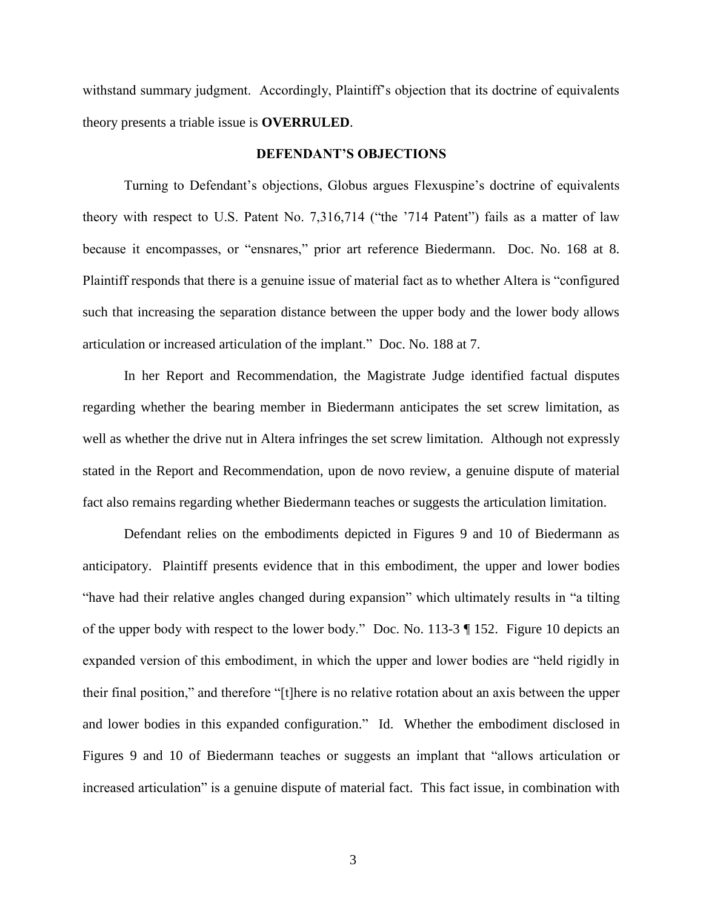withstand summary judgment. Accordingly, Plaintiff's objection that its doctrine of equivalents theory presents a triable issue is **OVERRULED**.

### **DEFENDANT'S OBJECTIONS**

Turning to Defendant's objections, Globus argues Flexuspine's doctrine of equivalents theory with respect to U.S. Patent No. 7,316,714 ("the '714 Patent") fails as a matter of law because it encompasses, or "ensnares," prior art reference Biedermann. Doc. No. 168 at 8. Plaintiff responds that there is a genuine issue of material fact as to whether Altera is "configured such that increasing the separation distance between the upper body and the lower body allows articulation or increased articulation of the implant." Doc. No. 188 at 7.

In her Report and Recommendation, the Magistrate Judge identified factual disputes regarding whether the bearing member in Biedermann anticipates the set screw limitation, as well as whether the drive nut in Altera infringes the set screw limitation. Although not expressly stated in the Report and Recommendation, upon de novo review, a genuine dispute of material fact also remains regarding whether Biedermann teaches or suggests the articulation limitation.

Defendant relies on the embodiments depicted in Figures 9 and 10 of Biedermann as anticipatory. Plaintiff presents evidence that in this embodiment, the upper and lower bodies "have had their relative angles changed during expansion" which ultimately results in "a tilting of the upper body with respect to the lower body." Doc. No. 113-3 ¶ 152. Figure 10 depicts an expanded version of this embodiment, in which the upper and lower bodies are "held rigidly in their final position," and therefore "[t]here is no relative rotation about an axis between the upper and lower bodies in this expanded configuration." Id. Whether the embodiment disclosed in Figures 9 and 10 of Biedermann teaches or suggests an implant that "allows articulation or increased articulation" is a genuine dispute of material fact. This fact issue, in combination with